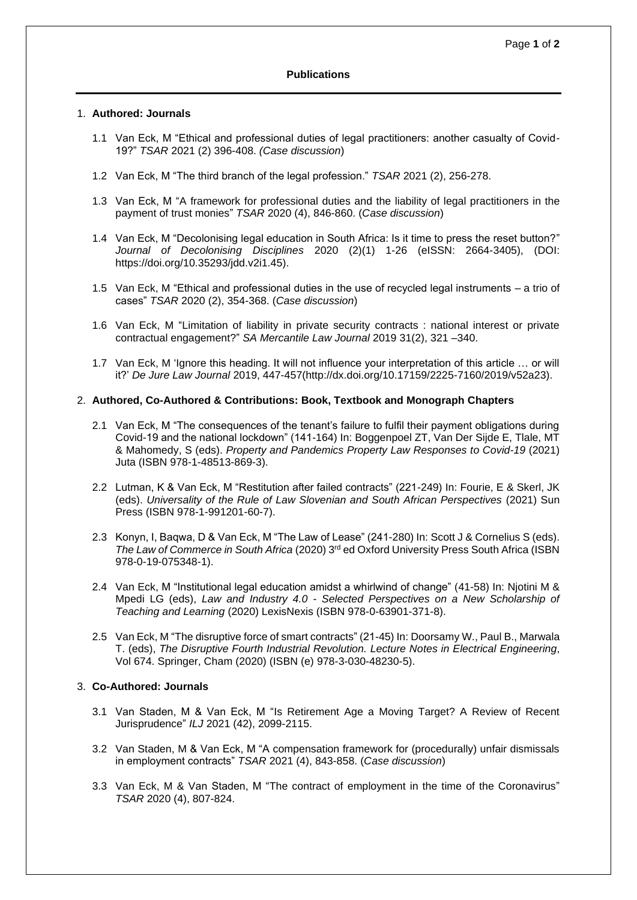## **Publications**

#### 1. **Authored: Journals**

- 1.1 Van Eck, M "Ethical and professional duties of legal practitioners: another casualty of Covid-19?" *TSAR* 2021 (2) 396-408. *(Case discussion*)
- 1.2 Van Eck, M "The third branch of the legal profession." *TSAR* 2021 (2), 256-278.
- 1.3 Van Eck, M ["A framework for professional duties and the liability of legal practitioners in the](https://0-journals-co-za.ujlink.uj.ac.za/content/journal/10520/EJC-2028547458)  [payment of trust monies"](https://0-journals-co-za.ujlink.uj.ac.za/content/journal/10520/EJC-2028547458) *[TSAR](https://0-journals-co-za.ujlink.uj.ac.za/content/journal/jlc_tsar)* [2020 \(4](https://0-journals-co-za.ujlink.uj.ac.za/content/journal/jlc_tsar_n2_2020)), 846-860. (*Case discussion*)
- 1.4 Van Eck, M "Decolonising legal education in South Africa: Is it time to press the reset button?" *Journal of Decolonising Disciplines* 2020 (2)(1) 1-26 (eISSN: 2664-3405), (DOI: [https://doi.org/10.35293/jdd.v2i1.45\)](https://doi.org/10.35293/jdd.v2i1.45).
- 1.5 Van Eck, M "Ethical and professional duties in the use of recycled legal instruments a trio of cases" *[TSAR](https://0-journals-co-za.ujlink.uj.ac.za/content/journal/jlc_tsar)* [2020](https://0-journals-co-za.ujlink.uj.ac.za/content/journal/jlc_tsar_n2_2020) (2), 354-368. (*Case discussion*)
- 1.6 Van Eck, M ["Limitation of liability in private security contracts : national interest or private](https://0-journals-co-za.ujlink.uj.ac.za/content/journal/10520/EJC-1dfb998d5d)  [contractual engagement?"](https://0-journals-co-za.ujlink.uj.ac.za/content/journal/10520/EJC-1dfb998d5d) *SA Mercantile Law Journal* 2019 31(2), 321 –340.
- 1.7 Van Eck, M 'Ignore this heading. It will not influence your interpretation of this article … or will it?' *De Jure Law Journal* 2019, 447-457(http://dx.doi.org/10.17159/2225-7160/2019/v52a23).

## 2. **Authored, Co-Authored & Contributions: Book, Textbook and Monograph Chapters**

- 2.1 Van Eck, M "The consequences of the tenant's failure to fulfil their payment obligations during Covid-19 and the national lockdown" (141-164) In: Boggenpoel ZT, Van Der Sijde E, Tlale, MT & Mahomedy, S (eds). *Property and Pandemics Property Law Responses to Covid-19* (2021) Juta (ISBN 978-1-48513-869-3).
- 2.2 Lutman, K & Van Eck, M "Restitution after failed contracts" (221-249) In: Fourie, E & Skerl, JK (eds). *Universality of the Rule of Law Slovenian and South African Perspectives* (2021) Sun Press (ISBN 978-1-991201-60-7).
- 2.3 Konyn, I, Baqwa, D & Van Eck, M "The Law of Lease" (241-280) In: Scott J & Cornelius S (eds). *The Law of Commerce in South Africa* (2020) 3rd ed Oxford University Press South Africa (ISBN 978-0-19-075348-1).
- 2.4 Van Eck, M "Institutional legal education amidst a whirlwind of change" (41-58) In: Njotini M & Mpedi LG (eds), *Law and Industry 4.0 - Selected Perspectives on a New Scholarship of Teaching and Learning* (2020) LexisNexis (ISBN 978-0-63901-371-8).
- 2.5 Van Eck, M "The disruptive force of smart contracts" (21-45) In: Doorsamy W., Paul B., Marwala T. (eds), *The Disruptive Fourth Industrial Revolution. Lecture Notes in Electrical Engineering*, Vol 674. Springer, Cham (2020) (ISBN (e) 978-3-030-48230-5).

# 3. **Co-Authored: Journals**

- 3.1 Van Staden, M & Van Eck, M "Is Retirement Age a Moving Target? A Review of Recent Jurisprudence" *ILJ* 2021 (42), 2099-2115.
- 3.2 Van Staden, M & Van Eck, M "A compensation framework for (procedurally) unfair dismissals in employment contracts" *TSAR* 2021 (4), 843-858. (*Case discussion*)
- 3.3 Van Eck, M & Van Staden, M ["The contract of employment in the time of the Coronavirus"](https://0-journals-co-za.ujlink.uj.ac.za/content/journal/10520/EJC-20283b985f) *[TSAR](https://0-journals-co-za.ujlink.uj.ac.za/content/journal/jlc_tsar)* [2020 \(4](https://0-journals-co-za.ujlink.uj.ac.za/content/journal/jlc_tsar_n2_2020)), 807-824.